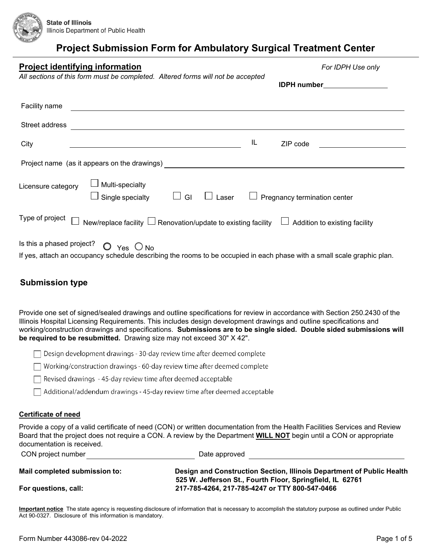

| <b>Project identifying information</b><br>All sections of this form must be completed. Altered forms will not be accepted                                                                                                      | For IDPH Use only             |
|--------------------------------------------------------------------------------------------------------------------------------------------------------------------------------------------------------------------------------|-------------------------------|
|                                                                                                                                                                                                                                | IDPH number________________   |
| Facility name                                                                                                                                                                                                                  |                               |
| Street address and the contract of the contract of the contract of the contract of the contract of the contract of the contract of the contract of the contract of the contract of the contract of the contract of the contrac |                               |
| IL<br>City                                                                                                                                                                                                                     | ZIP code                      |
| Project name (as it appears on the drawings) [2010] [2010] [2010] [2010] [2010] [2010] [2010] [2010] [2010] [2010] [2010] [2010] [2010] [2010] [2010] [2010] [2010] [2010] [2010] [2010] [2010] [2010] [2010] [2010] [2010] [2 |                               |
| Multi-specialty<br>Licensure category<br>Single specialty<br>$\Box$ GI<br>$\Box$ Laser                                                                                                                                         | Pregnancy termination center  |
| Type of project<br>New/replace facility $\Box$ Renovation/update to existing facility                                                                                                                                          | Addition to existing facility |
| Is this a phased project?<br>$O$ Yes $O$ No<br>If yes, attach an occupancy schedule describing the rooms to be occupied in each phase with a small scale graphic plan.                                                         |                               |

### **Submission type**

Provide one set of signed/sealed drawings and outline specifications for review in accordance with Section 250.2430 of the Illinois Hospital Licensing Requirements. This includes design development drawings and outline specifications and working/construction drawings and specifications. **Submissions are to be single sided. Double sided submissions will be required to be resubmitted.** Drawing size may not exceed 30" X 42".

| $\Box$ Design development drawings - 30-day review time after deemed complete    |
|----------------------------------------------------------------------------------|
| $\Box$ Working/construction drawings - 60-day review time after deemed complete  |
| $\Box$ Revised drawings - 45-day review time after deemed acceptable             |
| $\Box$ Additional/addendum drawings - 45-day review time after deemed acceptable |

### **Certificate of need**

Provide a copy of a valid certificate of need (CON) or written documentation from the Health Facilities Services and Review Board that the project does not require a CON. A review by the Department **WILL NOT** begin until a CON or appropriate documentation is received.

| CON project number            | Date approved                                                         |
|-------------------------------|-----------------------------------------------------------------------|
| Mail completed submission to: | Design and Construction Section, Illinois Department of Public Health |
|                               | 525 W. Jefferson St., Fourth Floor, Springfield, IL 62761             |
| For questions, call:          | 217-785-4264, 217-785-4247 or TTY 800-547-0466                        |

**Important notice** The state agency is requesting disclosure of information that is necessary to accomplish the statutory purpose as outlined under Public Act 90-0327. Disclosure of this information is mandatory.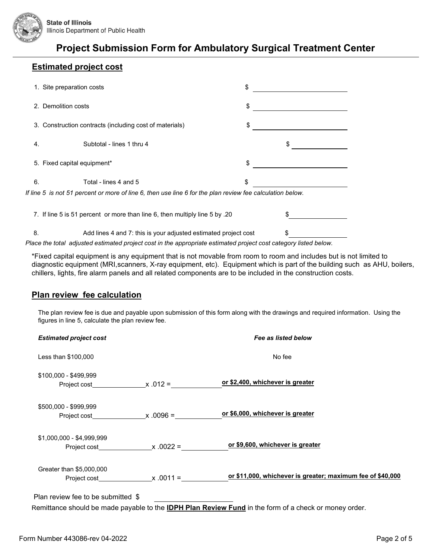

### **Estimated project cost**

|                     | 1. Site preparation costs                                                                                 | \$ |  |
|---------------------|-----------------------------------------------------------------------------------------------------------|----|--|
| 2. Demolition costs |                                                                                                           | \$ |  |
|                     | 3. Construction contracts (including cost of materials)                                                   | \$ |  |
| 4.                  | Subtotal - lines 1 thru 4                                                                                 |    |  |
|                     | 5. Fixed capital equipment*                                                                               | \$ |  |
| 6.                  | Total - lines 4 and 5                                                                                     | \$ |  |
|                     | If line 5 is not 51 percent or more of line 6, then use line 6 for the plan review fee calculation below. |    |  |
|                     | 7. If line 5 is 51 percent or more than line 6, then multiply line 5 by .20                               |    |  |
| 8.                  | Add lines 4 and 7: this is your adjusted estimated project cost                                           |    |  |
|                     |                                                                                                           | .  |  |

*Place the total adjusted estimated project cost in the appropriate estimated project cost category listed below.*

\*Fixed capital equipment is any equipment that is not movable from room to room and includes but is not limited to diagnostic equipment (MRI,scanners, X-ray equipment, etc). Equipment which is part of the building such as AHU, boilers, chillers, lights, fire alarm panels and all related components are to be included in the construction costs.

### **Plan review fee calculation**

The plan review fee is due and payable upon submission of this form along with the drawings and required information. Using the figures in line 5, calculate the plan review fee.

| <b>Estimated project cost</b>      |                                       | Fee as listed below                                                                                          |
|------------------------------------|---------------------------------------|--------------------------------------------------------------------------------------------------------------|
| Less than \$100,000                |                                       | No fee                                                                                                       |
| \$100,000 - \$499,999              |                                       | or \$2,400, whichever is greater                                                                             |
| \$500,000 - \$999,999              |                                       | <u>or \$6,000, whichever is greater</u>                                                                      |
| \$1,000,000 - \$4,999,999          | Project cost $\qquad \qquad x.0022 =$ | or \$9,600, whichever is greater                                                                             |
| Greater than \$5,000,000           | Project cost $\qquad \qquad x.0011 =$ | or \$11,000, whichever is greater; maximum fee of \$40,000                                                   |
| Plan review fee to be submitted \$ |                                       |                                                                                                              |
|                                    |                                       | Remittance should be made payable to the <b>IDPH Plan Review Fund</b> in the form of a check or money order. |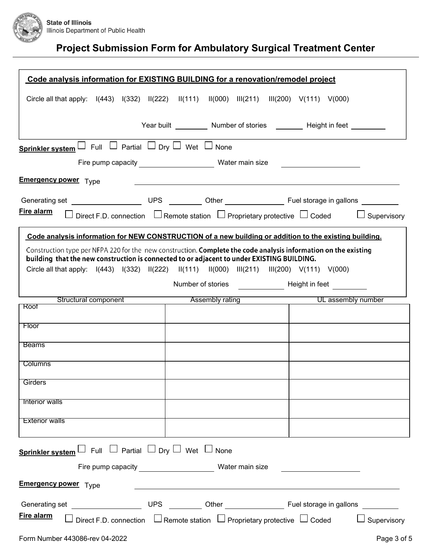

|                                                      | Code analysis information for EXISTING BUILDING for a renovation/remodel project                                                                                                                                                                                                                                                                                                                                                                             |
|------------------------------------------------------|--------------------------------------------------------------------------------------------------------------------------------------------------------------------------------------------------------------------------------------------------------------------------------------------------------------------------------------------------------------------------------------------------------------------------------------------------------------|
|                                                      | Circle all that apply: $I(443)$ $I(332)$ $II(222)$ $II(111)$ $II(000)$ $III(211)$ $III(200)$ V(111) V(000)                                                                                                                                                                                                                                                                                                                                                   |
|                                                      | Year built ___________ Number of stories _________ Height in feet _________                                                                                                                                                                                                                                                                                                                                                                                  |
|                                                      |                                                                                                                                                                                                                                                                                                                                                                                                                                                              |
| Sprinkler system L Full L Partial D Dry D Wet D None |                                                                                                                                                                                                                                                                                                                                                                                                                                                              |
|                                                      | <u> 1980 - Andrea Andrew Maria (b. 1980)</u>                                                                                                                                                                                                                                                                                                                                                                                                                 |
| <b>Emergency power</b> Type                          |                                                                                                                                                                                                                                                                                                                                                                                                                                                              |
|                                                      |                                                                                                                                                                                                                                                                                                                                                                                                                                                              |
| Fire alarm                                           | Direct F.D. connection $\Box$ Remote station $\Box$ Proprietary protective $\Box$ Coded $\Box$ Supervisory                                                                                                                                                                                                                                                                                                                                                   |
|                                                      | Code analysis information for NEW CONSTRUCTION of a new building or addition to the existing building.                                                                                                                                                                                                                                                                                                                                                       |
|                                                      | Construction type per NFPA 220 for the new construction. Complete the code analysis information on the existing<br>building that the new construction is connected to or adjacent to under EXISTING BUILDING.<br>Circle all that apply: $\left  \frac{(443)}{(332)} \right  \left  \frac{(222)}{(222)} \right  \left  \frac{(111)}{(1000)} \right  \left  \frac{(211)}{(211)} \right  \left  \frac{(200)}{(111)} \right  \left  \frac{(000)}{(000)} \right $ |
|                                                      |                                                                                                                                                                                                                                                                                                                                                                                                                                                              |
|                                                      | Number of stories <b>Example 20</b> Height in feet                                                                                                                                                                                                                                                                                                                                                                                                           |
| Structural component<br>Roof                         | UL assembly number<br>Assembly rating                                                                                                                                                                                                                                                                                                                                                                                                                        |
| Floor                                                |                                                                                                                                                                                                                                                                                                                                                                                                                                                              |
|                                                      |                                                                                                                                                                                                                                                                                                                                                                                                                                                              |
| <b>Beams</b>                                         |                                                                                                                                                                                                                                                                                                                                                                                                                                                              |
| <b>Columns</b>                                       |                                                                                                                                                                                                                                                                                                                                                                                                                                                              |
| Girders                                              |                                                                                                                                                                                                                                                                                                                                                                                                                                                              |
|                                                      |                                                                                                                                                                                                                                                                                                                                                                                                                                                              |
| Interior walls                                       |                                                                                                                                                                                                                                                                                                                                                                                                                                                              |
| <b>Exterior walls</b>                                |                                                                                                                                                                                                                                                                                                                                                                                                                                                              |
| Sprinkler system L Full L Partial D Dry D Wet D None |                                                                                                                                                                                                                                                                                                                                                                                                                                                              |
|                                                      |                                                                                                                                                                                                                                                                                                                                                                                                                                                              |
| <b>Emergency power</b> Type                          | <u> 1980 - Andrea Barbara, amerikana amerikana amerikana amerikana amerikana amerikana amerikana amerikana amerik</u>                                                                                                                                                                                                                                                                                                                                        |
|                                                      |                                                                                                                                                                                                                                                                                                                                                                                                                                                              |
| Fire alarm                                           | Direct F.D. connection $\Box$ Remote station $\Box$ Proprietary protective $\Box$ Coded<br>$\Box$ Supervisory                                                                                                                                                                                                                                                                                                                                                |
| Form Number 443086-rev 04-2022                       | Page 3 of 5                                                                                                                                                                                                                                                                                                                                                                                                                                                  |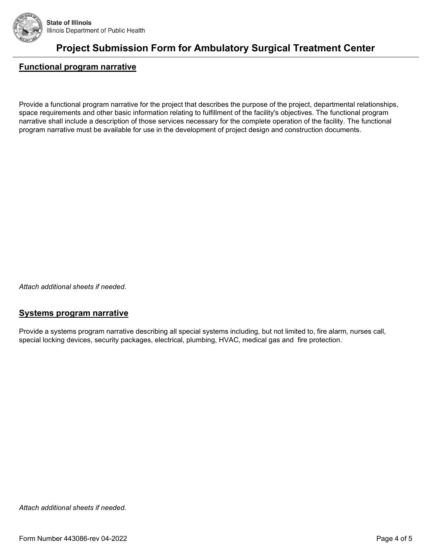

### **Functional program narrative**

Provide a functional program narrative for the project that describes the purpose of the project, departmental relationships, space requirements and other basic information relating to fulfillment of the facility's objectives. The functional program narrative shall include a description of those services necessary for the complete operation of the facility. The functional program narrative must be available for use in the development of project design and construction documents.

*Attach additional sheets if needed.*

#### **Systems program narrative**

Provide a systems program narrative describing all special systems including, but not limited to, fire alarm, nurses call, special locking devices, security packages, electrical, plumbing, HVAC, medical gas and fire protection.

*Attach additional sheets if needed.*